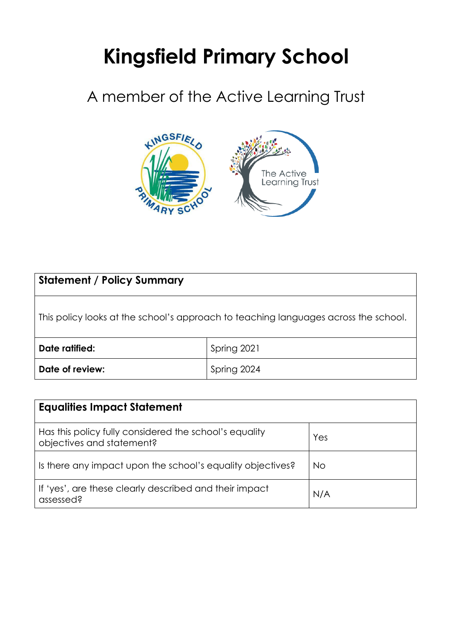# **Kingsfield Primary School**

# A member of the Active Learning Trust



| <b>Statement / Policy Summary</b>                                                   |             |
|-------------------------------------------------------------------------------------|-------------|
| This policy looks at the school's approach to teaching languages across the school. |             |
| Date ratified:                                                                      | Spring 2021 |
| Date of review:                                                                     | Spring 2024 |

| <b>Equalities Impact Statement</b>                                                  |     |  |
|-------------------------------------------------------------------------------------|-----|--|
| Has this policy fully considered the school's equality<br>objectives and statement? | Yes |  |
| Is there any impact upon the school's equality objectives?                          | No  |  |
| If 'yes', are these clearly described and their impact<br>assessed?                 | N/A |  |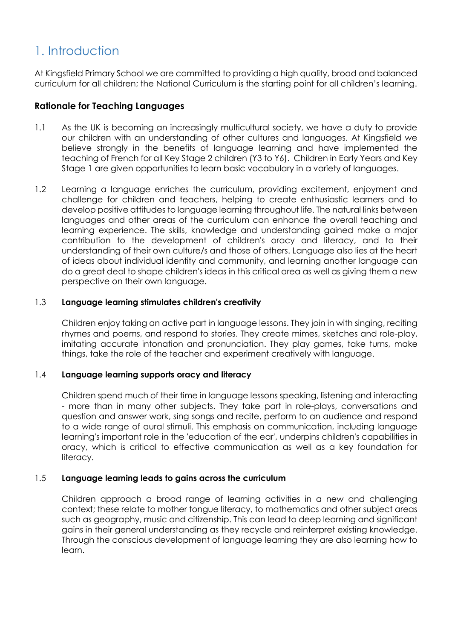# 1. Introduction

At Kingsfield Primary School we are committed to providing a high quality, broad and balanced curriculum for all children; the National Curriculum is the starting point for all children's learning.

## **Rationale for Teaching Languages**

- 1.1 As the UK is becoming an increasingly multicultural society, we have a duty to provide our children with an understanding of other cultures and languages. At Kingsfield we believe strongly in the benefits of language learning and have implemented the teaching of French for all Key Stage 2 children (Y3 to Y6). Children in Early Years and Key Stage 1 are given opportunities to learn basic vocabulary in a variety of languages.
- 1.2 Learning a language enriches the curriculum, providing excitement, enjoyment and challenge for children and teachers, helping to create enthusiastic learners and to develop positive attitudes to language learning throughout life. The natural links between languages and other areas of the curriculum can enhance the overall teaching and learning experience. The skills, knowledge and understanding gained make a major contribution to the development of children's oracy and literacy, and to their understanding of their own culture/s and those of others. Language also lies at the heart of ideas about individual identity and community, and learning another language can do a great deal to shape children's ideas in this critical area as well as giving them a new perspective on their own language.

#### 1.3 **Language learning stimulates children's creativity**

Children enjoy taking an active part in language lessons. They join in with singing, reciting rhymes and poems, and respond to stories. They create mimes, sketches and role-play, imitating accurate intonation and pronunciation. They play games, take turns, make things, take the role of the teacher and experiment creatively with language.

#### 1.4 **Language learning supports oracy and literacy**

Children spend much of their time in language lessons speaking, listening and interacting - more than in many other subjects. They take part in role-plays, conversations and question and answer work, sing songs and recite, perform to an audience and respond to a wide range of aural stimuli. This emphasis on communication, including language learning's important role in the 'education of the ear', underpins children's capabilities in oracy, which is critical to effective communication as well as a key foundation for literacy.

#### 1.5 **Language learning leads to gains across the curriculum**

Children approach a broad range of learning activities in a new and challenging context; these relate to mother tongue literacy, to mathematics and other subject areas such as geography, music and citizenship. This can lead to deep learning and significant gains in their general understanding as they recycle and reinterpret existing knowledge. Through the conscious development of language learning they are also learning how to learn.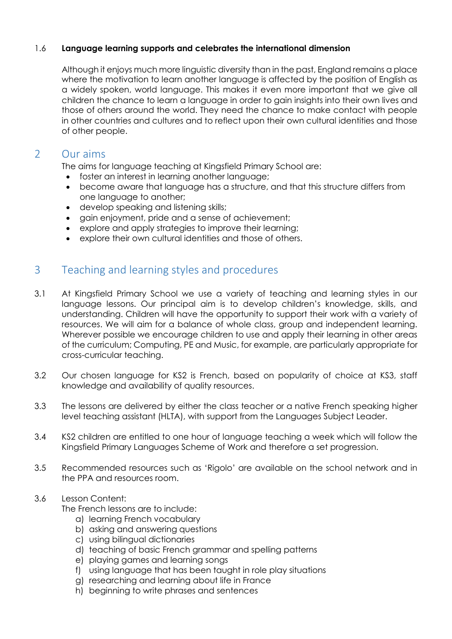#### 1.6 **Language learning supports and celebrates the international dimension**

Although it enjoys much more linguistic diversity than in the past, England remains a place where the motivation to learn another language is affected by the position of English as a widely spoken, world language. This makes it even more important that we give all children the chance to learn a language in order to gain insights into their own lives and those of others around the world. They need the chance to make contact with people in other countries and cultures and to reflect upon their own cultural identities and those of other people.

# 2 Our aims

The aims for language teaching at Kingsfield Primary School are:

- foster an interest in learning another language;
- become aware that language has a structure, and that this structure differs from one language to another;
- develop speaking and listening skills;
- gain enjoyment, pride and a sense of achievement;
- explore and apply strategies to improve their learning;
- explore their own cultural identities and those of others.

# 3 Teaching and learning styles and procedures

- 3.1 At Kingsfield Primary School we use a variety of teaching and learning styles in our language lessons. Our principal aim is to develop children's knowledge, skills, and understanding. Children will have the opportunity to support their work with a variety of resources. We will aim for a balance of whole class, group and independent learning. Wherever possible we encourage children to use and apply their learning in other areas of the curriculum; Computing, PE and Music, for example, are particularly appropriate for cross-curricular teaching.
- 3.2 Our chosen language for KS2 is French, based on popularity of choice at KS3, staff knowledge and availability of quality resources.
- 3.3 The lessons are delivered by either the class teacher or a native French speaking higher level teaching assistant (HLTA), with support from the Languages Subject Leader.
- 3.4 KS2 children are entitled to one hour of language teaching a week which will follow the Kingsfield Primary Languages Scheme of Work and therefore a set progression.
- 3.5 Recommended resources such as 'Rigolo' are available on the school network and in the PPA and resources room.

#### 3.6 Lesson Content:

The French lessons are to include:

- a) learning French vocabulary
- b) asking and answering questions
- c) using bilingual dictionaries
- d) teaching of basic French grammar and spelling patterns
- e) playing games and learning songs
- f) using language that has been taught in role play situations
- g) researching and learning about life in France
- h) beginning to write phrases and sentences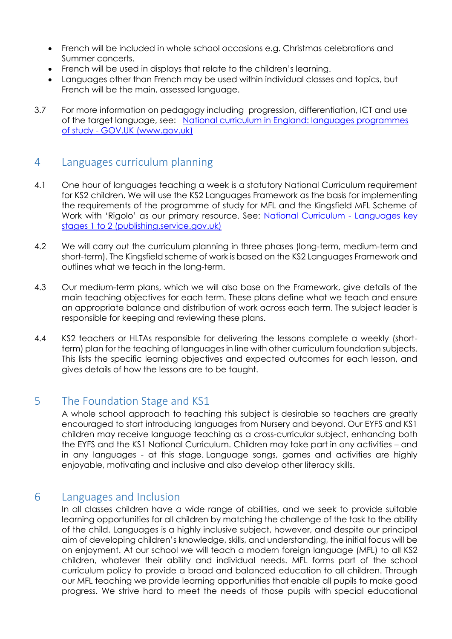- French will be included in whole school occasions e.g. Christmas celebrations and Summer concerts.
- French will be used in displays that relate to the children's learning.
- Languages other than French may be used within individual classes and topics, but French will be the main, assessed language.
- 3.7 For more information on pedagogy including progression, differentiation, ICT and use of the target language, see: [National curriculum in England: languages programmes](https://www.gov.uk/government/publications/national-curriculum-in-england-languages-progammes-of-study/national-curriculum-in-england-languages-progammes-of-study)  of study - [GOV.UK \(www.gov.uk\)](https://www.gov.uk/government/publications/national-curriculum-in-england-languages-progammes-of-study/national-curriculum-in-england-languages-progammes-of-study)

# 4 Languages curriculum planning

- 4.1 One hour of languages teaching a week is a statutory National Curriculum requirement for KS2 children. We will use the KS2 Languages Framework as the basis for implementing the requirements of the programme of study for MFL and the Kingsfield MFL Scheme of Work with 'Rigolo' as our primary resource. See: [National Curriculum -](https://assets.publishing.service.gov.uk/government/uploads/system/uploads/attachment_data/file/239042/PRIMARY_national_curriculum_-_Languages.pdf) Languages key [stages 1 to 2 \(publishing.service.gov.uk\)](https://assets.publishing.service.gov.uk/government/uploads/system/uploads/attachment_data/file/239042/PRIMARY_national_curriculum_-_Languages.pdf)
- 4.2 We will carry out the curriculum planning in three phases (long-term, medium-term and short-term). The Kingsfield scheme of work is based on the KS2 Languages Framework and outlines what we teach in the long-term.
- 4.3 Our medium-term plans, which we will also base on the Framework, give details of the main teaching objectives for each term. These plans define what we teach and ensure an appropriate balance and distribution of work across each term. The subject leader is responsible for keeping and reviewing these plans.
- 4.4 KS2 teachers or HLTAs responsible for delivering the lessons complete a weekly (shortterm) plan for the teaching of languages in line with other curriculum foundation subjects. This lists the specific learning objectives and expected outcomes for each lesson, and gives details of how the lessons are to be taught.

# 5 The Foundation Stage and KS1

A whole school approach to teaching this subject is desirable so teachers are greatly encouraged to start introducing languages from Nursery and beyond. Our EYFS and KS1 children may receive language teaching as a cross-curricular subject, enhancing both the EYFS and the KS1 National Curriculum. Children may take part in any activities – and in any languages - at this stage. Language songs, games and activities are highly enjoyable, motivating and inclusive and also develop other literacy skills.

# 6 Languages and Inclusion

In all classes children have a wide range of abilities, and we seek to provide suitable learning opportunities for all children by matching the challenge of the task to the ability of the child. Languages is a highly inclusive subject, however, and despite our principal aim of developing children's knowledge, skills, and understanding, the initial focus will be on enjoyment. At our school we will teach a modern foreign language (MFL) to all KS2 children, whatever their ability and individual needs. MFL forms part of the school curriculum policy to provide a broad and balanced education to all children. Through our MFL teaching we provide learning opportunities that enable all pupils to make good progress. We strive hard to meet the needs of those pupils with special educational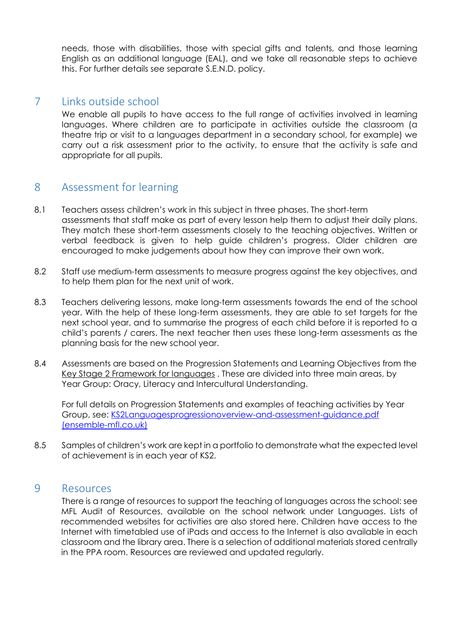needs, those with disabilities, those with special gifts and talents, and those learning English as an additional language (EAL), and we take all reasonable steps to achieve this. For further details see separate S.E.N.D. policy.

# 7 Links outside school

We enable all pupils to have access to the full range of activities involved in learning languages. Where children are to participate in activities outside the classroom (a theatre trip or visit to a languages department in a secondary school, for example) we carry out a risk assessment prior to the activity, to ensure that the activity is safe and appropriate for all pupils.

# 8 Assessment for learning

- 8.1 Teachers assess children's work in this subject in three phases. The short-term assessments that staff make as part of every lesson help them to adjust their daily plans. They match these short-term assessments closely to the teaching objectives. Written or verbal feedback is given to help guide children's progress. Older children are encouraged to make judgements about how they can improve their own work.
- 8.2 Staff use medium-term assessments to measure progress against the key objectives, and to help them plan for the next unit of work.
- 8.3 Teachers delivering lessons, make long-term assessments towards the end of the school year. With the help of these long-term assessments, they are able to set targets for the next school year, and to summarise the progress of each child before it is reported to a child's parents / carers. The next teacher then uses these long-term assessments as the planning basis for the new school year.
- 8.4 Assessments are based on the Progression Statements and Learning Objectives from the Key Stage 2 Framework for languages . These are divided into three main areas, by Year Group: Oracy, Literacy and Intercultural Understanding.

For full details on Progression Statements and examples of teaching activities by Year Group, see: [KS2Languagesprogressionoverview-and-assessment-guidance.pdf](http://www.ensemble-mfl.co.uk/wp-content/uploads/2016/07/KS2Languagesprogressionoverview-and-assessment-guidance.pdf)  [\(ensemble-mfl.co.uk\)](http://www.ensemble-mfl.co.uk/wp-content/uploads/2016/07/KS2Languagesprogressionoverview-and-assessment-guidance.pdf)

8.5 Samples of children's work are kept in a portfolio to demonstrate what the expected level of achievement is in each year of KS2.

### 9 Resources

There is a range of resources to support the teaching of languages across the school: see MFL Audit of Resources, available on the school network under Languages. Lists of recommended websites for activities are also stored here. Children have access to the Internet with timetabled use of iPads and access to the Internet is also available in each classroom and the library area. There is a selection of additional materials stored centrally in the PPA room. Resources are reviewed and updated regularly.